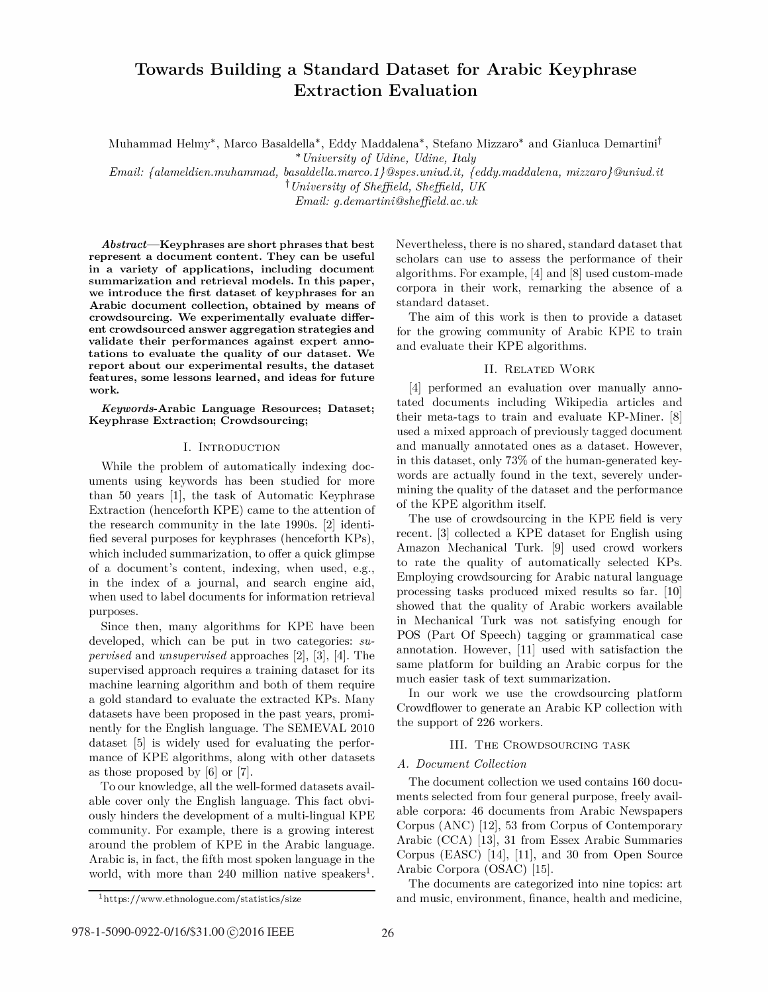# Towards Building a Standard Dataset for Arabic Keyphrase Extraction Evaluation

Muhammad Helmy\*, Marco Basaldella\*, Eddy Maddalena\*, Stefano Mizzaro\* and Gianluca Demartinit

\* University of Udine, Udine, Italy

 $Email: \{alameldien.muhammad, basaldella.marco. 1\} @ spes.uniud.it, \{eddy.maddalena, mizzaro\} @uniud.it$ t University of Sheffield, Sheffield, UK

Email: g. demartini@sheffield. ac. uk

Abstract-Keyphrases are short phrases that best represent a document content. They can be useful in a variety of applications, including document summarization and retrieval models. In this paper, we introduce the first dataset of keyphrases for an Arabic document collection, obtained by means of crowdsourcing. We experimentally evaluate different crowdsourced answer aggregation strategies and validate their performances against expert annotations to evaluate the quality of our dataset. We report about our experimental results, the dataset features, some lessons learned, and ideas for future work.

Keywords-Arabic Language Resources; Dataset; Keyphrase Extraction; Crowdsourcing;

# I. INTRODUCTION

While the problem of automatically indexing documents using keywords has been studied for more than 50 years [1], the task of Automatic Keyphrase Extraction (henceforth KPE) came to the attention of the research community in the late 1990s. [2] identified several purposes for keyphrases (henceforth KPs), which included summarization, to offer a quick glimpse of a document's content, indexing, when used, e.g., in the index of a journal, and search engine aid, when used to label documents for information retrieval purposes.

Since then, many algorithms for KPE have been developed, which can be put in two categories: su*pervised* and *unsupervised* approaches  $[2]$ ,  $[3]$ ,  $[4]$ . The supervised approach requires a training dataset for its machine learning algorithm and both of them require a gold standard to evaluate the extracted KPs. Many datasets have been proposed in the past years, prominently for the English language. The SEMEVAL 2010 dataset [5] is widely used for evaluating the performance of KPE algorithms, along with other datasets as those proposed by [6] or [7].

To our knowledge, all the well-formed datasets available cover only the English language. This fact obviously hinders the development of a multi-lingual KPE community. For example, there is a growing interest around the problem of KPE in the Arabic language. Arabic is, in fact, the fifth most spoken language in the world, with more than 240 million native speakers<sup>1</sup>.

Nevertheless, there is no shared, standard dataset that scholars can use to assess the performance of their algorithms. For example, [4] and [8] used custom-made corpora in their work, remarking the absence of a standard dataset.

The aim of this work is then to provide a dataset for the growing community of Arabic KPE to train and evaluate their KPE algorithms.

#### II. RELATED WORK

[4] performed an evaluation over manually annotated documents including Wikipedia articles and their meta-tags to train and evaluate KP-Miner. [8] used a mixed approach of previously tagged document and manually annotated ones as a dataset. However, in this dataset, only 73% of the human-generated keywords are actually found in the text, severely undermining the quality of the dataset and the performance of the KPE algorithm itself.

The use of crowdsourcing in the KPE field is very recent. [3] collected a KPE dataset for English using Amazon Mechanical Turk. [9] used crowd workers to rate the quality of automatically selected KPs. Employing crowdsourcing for Arabic natural language processing tasks produced mixed results so far. [10] showed that the quality of Arabic workers available in Mechanical Turk was not satisfying enough for POS (Part Of Speech) tagging or grammatical case annotation. However, [11] used with satisfaction the same platform for building an Arabic corpus for the much easier task of text summarization.

In our work we use the crowdsourcing platform Crowdfiower to generate an Arabic KP collection with the support of 226 workers.

# III. THE CROWDSOURCING TASK

# A. Document Collection

The document collection we used contains 160 documents selected from four general purpose, freely available corpora: 46 documents from Arabic Newspapers Corpus (ANC) [12], 53 from Corpus of Contemporary Arabic (CCA) [13], 31 from Essex Arabic Summaries Corpus (EASC) [14], [11], and 30 from Open Source Arabic Corpora (OSAC) [15].

The documents are categorized into nine topics: art and music, environment, finance, health and medicine,

<sup>1</sup> https://www.ethnologue.com/statistics/size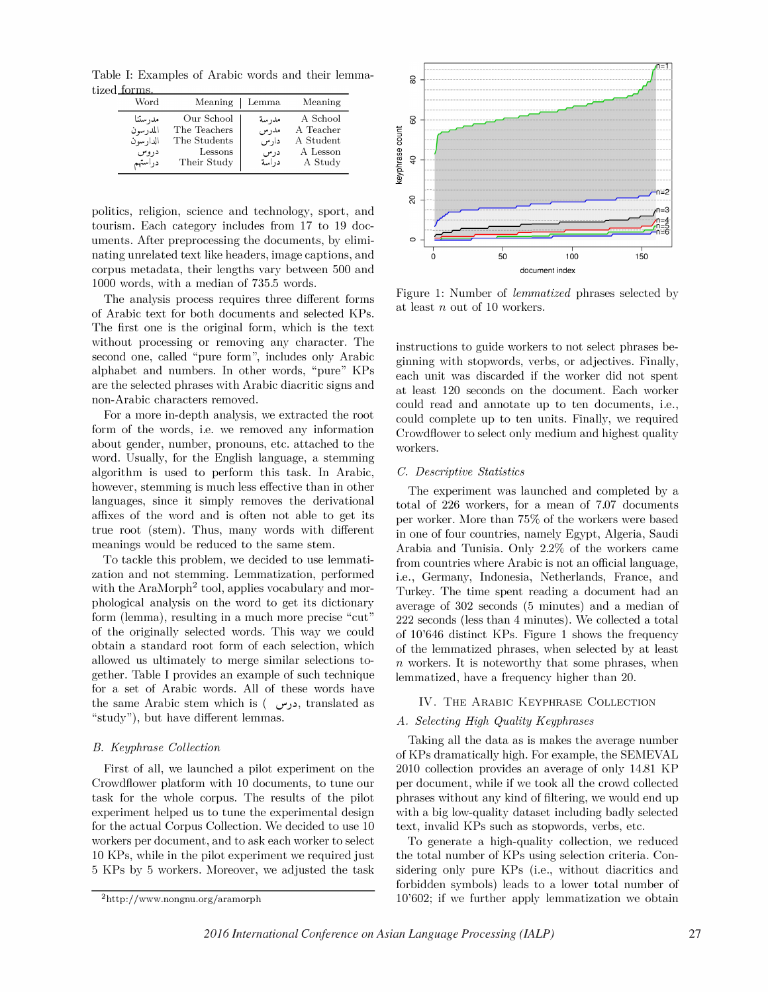Table I: Examples of Arabic words and their lemmatized forms

| .<br>Word                                          | Meaning                                                              | Lemma                                 | Meaning                                                   |
|----------------------------------------------------|----------------------------------------------------------------------|---------------------------------------|-----------------------------------------------------------|
| مدرستنا<br>المدرسون<br>الدارسون<br>دروس<br>دراستهم | Our School<br>The Teachers<br>The Students<br>Lessons<br>Their Study | مدرسة<br>مدرس<br>دارس<br>درس<br>دراسة | A School<br>A Teacher<br>A Student<br>A Lesson<br>A Study |

politics, religion, science and technology, sport, and tourism. Each category includes from 17 to 19 documents. After preprocessing the documents, by eliminating unrelated text like headers, image captions, and corpus metadata, their lengths vary between 500 and 1000 words, with a median of 735.5 words.

The analysis process requires three different forms of Arabic text for both documents and selected KPs. The first one is the original form, which is the text without processing or removing any character. The second one, called "pure form", includes only Arabic alphabet and numbers. In other words, "pure" KPs are the selected phrases with Arabic diacritic signs and non-Arabic characters removed.

For a more in-depth analysis, we extracted the root form of the words, i.e. we removed any information about gender, number, pronouns, etc. attached to the word. Usually, for the English language, a stemming algorithm is used to perform this task. In Arabic, however, stemming is much less effective than in other languages, since it simply removes the derivational affixes of the word and is often not able to get its true root (stem). Thus, many words with different meanings would be reduced to the same stem.

To tackle this problem, we decided to use lemmatization and not stemming. Lemmatization, performed with the AraMorph<sup>2</sup> tool, applies vocabulary and morphological analysis on the word to get its dictionary form (lemma), resulting in a much more precise "cut" of the originally selected words. This way we could obtain a standard root form of each selection, which allowed us ultimately to merge similar selections together. Table I provides an example of such technique for a set of Arabic words. All of these words have the same Arabic stem which is ( درس, translated as "study"), but have different lemmas.

# B. Keyphrase Collection

First of all, we launched a pilot experiment on the Crowdfiower platform with 10 documents, to tune our task for the whole corpus. The results of the pilot experiment helped us to tune the experimental design for the actual Corpus Collection. We decided to use 10 workers per document, and to ask each worker to select 10 KPs, while in the pilot experiment we required just 5 KPs by 5 workers. Moreover, we adjusted the task



Figure 1: Number of lemmatized phrases selected by at least n out of 10 workers.

instructions to guide workers to not select phrases beginning with stopwords, verbs, or adjectives. Finally, each unit was discarded if the worker did not spent at least 120 seconds on the document. Each worker could read and annotate up to ten documents, i.e., could complete up to ten units. Finally, we required Crowdfiower to select only medium and highest quality workers.

#### C. Descriptive Statistics

The experiment was launched and completed by a total of 226 workers, for a mean of 7.07 documents per worker. More than 75% of the workers were based in one of four countries, namely Egypt, Algeria, Saudi Arabia and Tunisia. Only 2.2% of the workers came from countries where Arabic is not an official language, i.e., Germany, Indonesia, Netherlands, France, and Turkey. The time spent reading a document had an average of 302 seconds (5 minutes) and a median of 222 seconds (less than 4 minutes). We collected a total of 10'646 distinct KPs. Figure 1 shows the frequency of the lemmatized phrases, when selected by at least  $n$  workers. It is noteworthy that some phrases, when lemmatized, have a frequency higher than 20.

# IV. THE ARABIC KEYPHRASE COLLECTION

# A. Selecting High Quality Keyphrases

Taking all the data as is makes the average number of KPs dramatically high. For example, the SEMEVAL 2010 collection provides an average of only 14.81 KP per document, while if we took all the crowd collected phrases without any kind of filtering, we would end up with a big low-quality dataset including badly selected text, invalid KPs such as stopwords, verbs, etc.

To generate a high-quality collection, we reduced the total number of KPs using selection criteria. Considering only pure KPs (i.e., without diacritics and forbidden symbols) leads to a lower total number of 10'602; if we further apply lemmatization we obtain

<sup>2</sup>http://www.nongnu.org/aramorph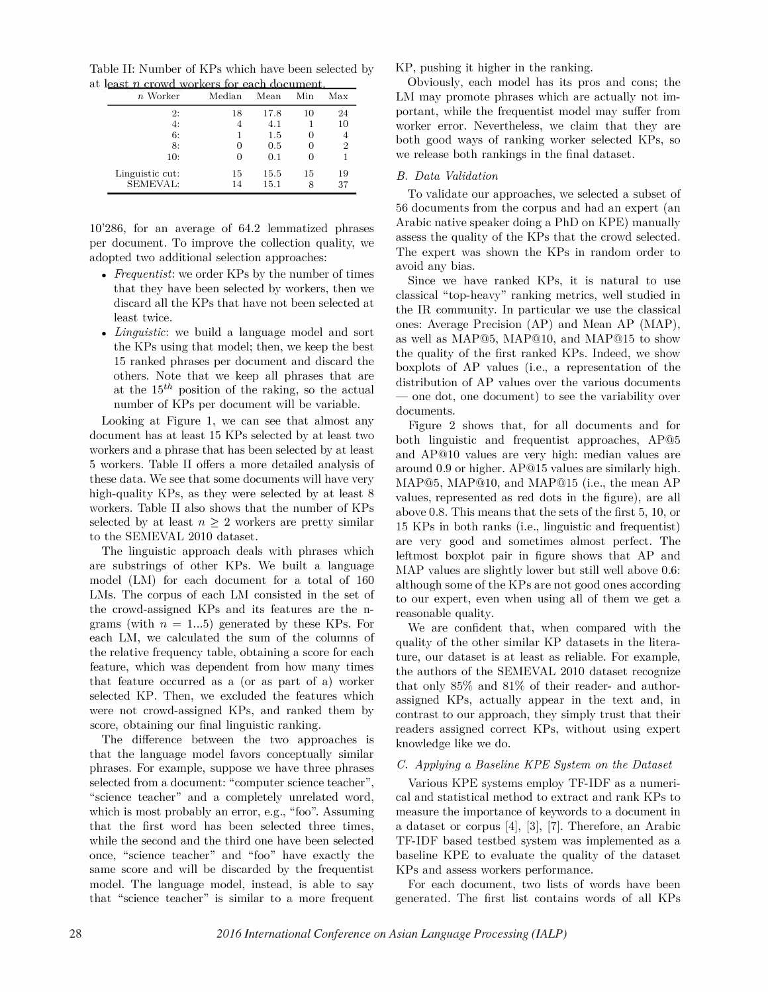Table II: Number of KPs which have been selected by at least  $n$  crowd workers for each document.

| $n$ Worker                  | Median               | Mean         | Min          | Max            |
|-----------------------------|----------------------|--------------|--------------|----------------|
| 2:<br>4:                    | 18<br>$\overline{4}$ | 17.8<br>4.1  | 10           | 24<br>10       |
| 6:                          | 1                    | 1.5          | $\mathbf{0}$ | 4              |
| 8:<br>10:                   | $\theta$<br>0        | 0.5<br>0.1   | O            | $\overline{2}$ |
| Linguistic cut:<br>SEMEVAL: | 15<br>14             | 15.5<br>15.1 | 15<br>8      | 19<br>37       |

10'286, for an average of 64.2 lemmatized phrases per document. To improve the collection quality, we adopted two additional selection approaches:

- Frequentist: we order KPs by the number of times that they have been selected by workers, then we discard all the KPs that have not been selected at least twice.
- *Linguistic*: we build a language model and sort the KPs using that model; then, we keep the best 15 ranked phrases per document and discard the others. Note that we keep all phrases that are at the  $15<sup>th</sup>$  position of the raking, so the actual number of KPs per document will be variable.

Looking at Figure 1, we can see that almost any document has at least 15 KPs selected by at least two workers and a phrase that has been selected by at least 5 workers. Table II offers a more detailed analysis of these data. We see that some documents will have very high-quality KPs, as they were selected by at least 8 workers. Table II also shows that the number of KPs selected by at least  $n \geq 2$  workers are pretty similar to the SEMEVAL 2010 dataset.

The linguistic approach deals with phrases which are substrings of other KPs. We built a language model (LM) for each document for a total of 160 LMs. The corpus of each LM consisted in the set of the crowd-assigned KPs and its features are the ngrams (with  $n = 1...5$ ) generated by these KPs. For each LM, we calculated the sum of the columns of the relative frequency table, obtaining a score for each feature, which was dependent from how many times that feature occurred as a (or as part of a) worker selected KP. Then, we excluded the features which were not crowd-assigned KPs, and ranked them by score, obtaining our final linguistic ranking.

The difference between the two approaches is that the language model favors conceptually similar phrases. For example, suppose we have three phrases selected from a document: "computer science teacher", "science teacher" and a completely unrelated word, which is most probably an error, e.g., "foo". Assuming that the first word has been selected three times, while the second and the third one have been selected once, "science teacher" and "foo" have exactly the same score and will be discarded by the frequentist model. The language model, instead, is able to say that "science teacher" is similar to a more frequent

KP, pushing it higher in the ranking.

Obviously, each model has its pros and cons; the LM may promote phrases which are actually not important, while the frequentist model may suffer from worker error. Nevertheless, we claim that they are both good ways of ranking worker selected KPs, so we release both rankings in the final dataset.

# B. Data Validation

To validate our approaches, we selected a subset of 56 documents from the corpus and had an expert (an Arabic native speaker doing a PhD on KPE) manually assess the quality of the KPs that the crowd selected. The expert was shown the KPs in random order to avoid any bias.

Since we have ranked KPs, it is natural to use classical "top-heavy" ranking metrics, well studied in the IR community. In particular we use the classical ones: Average Precision (AP) and Mean AP (MAP), as well as MAP@5, MAP@lO, and MAP@15 to show the quality of the first ranked KPs. Indeed, we show boxplots of AP values (Le., a representation of the distribution of AP values over the various documents - one dot, one document) to see the variability over documents.

Figure 2 shows that, for all documents and for both linguistic and frequentist approaches, AP@5 and AP@lO values are very high: median values are around 0.9 or higher. AP@15 values are similarly high. MAP@5, MAP@10, and MAP@15 (i.e., the mean AP values, represented as red dots in the figure), are all above 0.8. This means that the sets of the first 5, 10, or 15 KPs in both ranks (Le., linguistic and frequentist) are very good and sometimes almost perfect. The leftmost boxplot pair in figure shows that AP and MAP values are slightly lower but still well above 0.6: although some of the KPs are not good ones according to our expert, even when using all of them we get a reasonable quality.

We are confident that, when compared with the quality of the other similar KP datasets in the literature, our dataset is at least as reliable. For example, the authors of the SEMEVAL 2010 dataset recognize that only 85% and 81% of their reader- and authorassigned KPs, actually appear in the text and, in contrast to our approach, they simply trust that their readers assigned correct KPs, without using expert knowledge like we do.

# C. Applying a Baseline KPE System on the Dataset

Various KPE systems employ TF-IDF as a numerical and statistical method to extract and rank KPs to measure the importance of keywords to a document in a dataset or corpus  $[4]$ ,  $[3]$ ,  $[7]$ . Therefore, an Arabic TF-IDF based testbed system was implemented as a baseline KPE to evaluate the quality of the dataset KPs and assess workers performance.

For each document, two lists of words have been generated. The first list contains words of all KPs